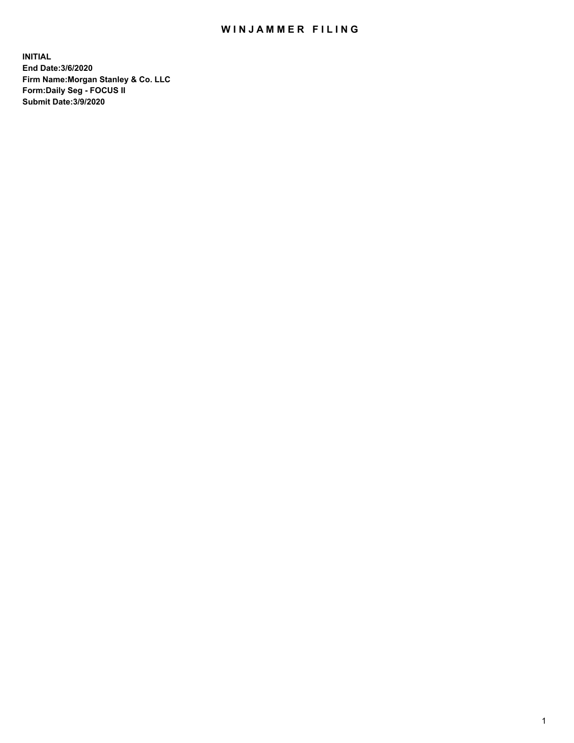## WIN JAMMER FILING

**INITIAL End Date:3/6/2020 Firm Name:Morgan Stanley & Co. LLC Form:Daily Seg - FOCUS II Submit Date:3/9/2020**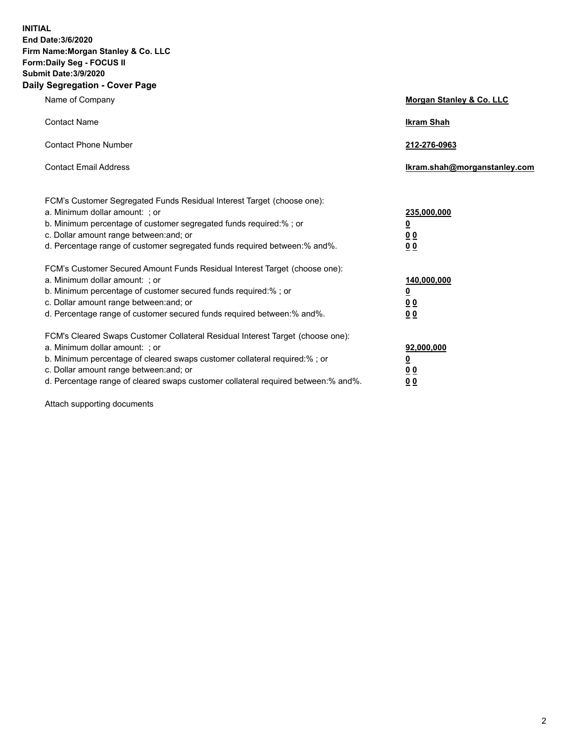**INITIAL End Date:3/6/2020 Firm Name:Morgan Stanley & Co. LLC Form:Daily Seg - FOCUS II Submit Date:3/9/2020 Daily Segregation - Cover Page**

| Name of Company                                                                                                       | Morgan Stanley & Co. LLC     |
|-----------------------------------------------------------------------------------------------------------------------|------------------------------|
| <b>Contact Name</b>                                                                                                   | <b>Ikram Shah</b>            |
| <b>Contact Phone Number</b>                                                                                           | 212-276-0963                 |
| <b>Contact Email Address</b>                                                                                          | lkram.shah@morganstanley.com |
| FCM's Customer Segregated Funds Residual Interest Target (choose one):<br>a. Minimum dollar amount: ; or              | 235,000,000                  |
| b. Minimum percentage of customer segregated funds required:% ; or<br>c. Dollar amount range between: and; or         | <u>0</u><br><u>00</u>        |
| d. Percentage range of customer segregated funds required between: % and %.                                           | 00                           |
| FCM's Customer Secured Amount Funds Residual Interest Target (choose one):                                            |                              |
| a. Minimum dollar amount: : or<br>b. Minimum percentage of customer secured funds required:%; or                      | 140,000,000<br><u>0</u>      |
| c. Dollar amount range between: and; or                                                                               | 0 <sub>0</sub>               |
| d. Percentage range of customer secured funds required between:% and%.                                                | 0 <sub>0</sub>               |
| FCM's Cleared Swaps Customer Collateral Residual Interest Target (choose one):                                        |                              |
| a. Minimum dollar amount: ; or                                                                                        | 92,000,000                   |
| b. Minimum percentage of cleared swaps customer collateral required:% ; or<br>c. Dollar amount range between: and; or | <u>0</u><br>0 Q              |
| d. Percentage range of cleared swaps customer collateral required between:% and%.                                     | 0 <sub>0</sub>               |
|                                                                                                                       |                              |

Attach supporting documents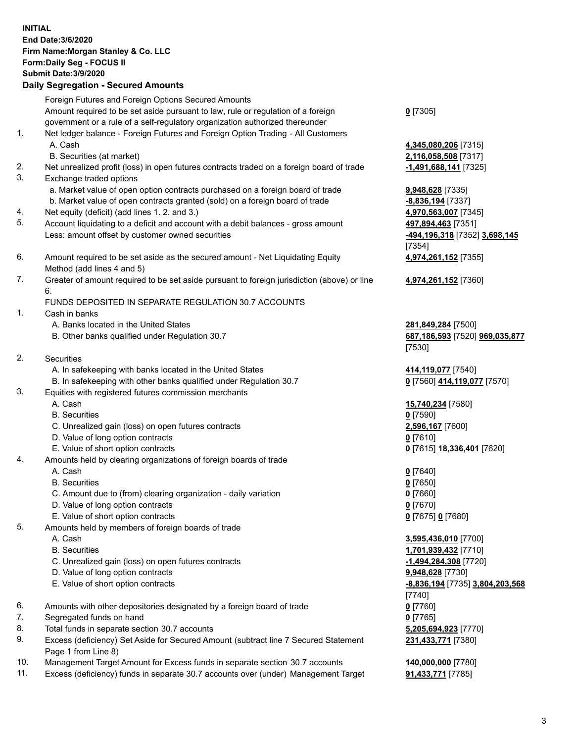| <b>INITIAL</b> | End Date: 3/6/2020<br>Firm Name: Morgan Stanley & Co. LLC<br>Form: Daily Seg - FOCUS II<br><b>Submit Date: 3/9/2020</b><br><b>Daily Segregation - Secured Amounts</b> |                                                               |
|----------------|-----------------------------------------------------------------------------------------------------------------------------------------------------------------------|---------------------------------------------------------------|
|                | Foreign Futures and Foreign Options Secured Amounts<br>Amount required to be set aside pursuant to law, rule or regulation of a foreign                               | $0$ [7305]                                                    |
|                | government or a rule of a self-regulatory organization authorized thereunder                                                                                          |                                                               |
| 1.             | Net ledger balance - Foreign Futures and Foreign Option Trading - All Customers<br>A. Cash                                                                            | 4,345,080,206 [7315]                                          |
| 2.             | B. Securities (at market)<br>Net unrealized profit (loss) in open futures contracts traded on a foreign board of trade                                                | 2,116,058,508 [7317]<br>-1,491,688,141 [7325]                 |
| 3.             | Exchange traded options                                                                                                                                               |                                                               |
|                | a. Market value of open option contracts purchased on a foreign board of trade                                                                                        | 9,948,628 [7335]                                              |
|                | b. Market value of open contracts granted (sold) on a foreign board of trade                                                                                          | -8,836,194 [7337]                                             |
| 4.             | Net equity (deficit) (add lines 1. 2. and 3.)                                                                                                                         | 4,970,563,007 [7345]                                          |
| 5.             | Account liquidating to a deficit and account with a debit balances - gross amount<br>Less: amount offset by customer owned securities                                 | 497,894,463 [7351]<br>-494,196,318 [7352] 3,698,145<br>[7354] |
| 6.             | Amount required to be set aside as the secured amount - Net Liquidating Equity<br>Method (add lines 4 and 5)                                                          | 4,974,261,152 [7355]                                          |
| 7.             | Greater of amount required to be set aside pursuant to foreign jurisdiction (above) or line                                                                           | 4,974,261,152 <sub>[7360]</sub>                               |
|                | 6.                                                                                                                                                                    |                                                               |
| 1.             | FUNDS DEPOSITED IN SEPARATE REGULATION 30.7 ACCOUNTS<br>Cash in banks                                                                                                 |                                                               |
|                | A. Banks located in the United States                                                                                                                                 | 281,849,284 [7500]                                            |
|                | B. Other banks qualified under Regulation 30.7                                                                                                                        | 687,186,593 [7520] 969,035,877<br>[7530]                      |
| 2.             | <b>Securities</b>                                                                                                                                                     |                                                               |
|                | A. In safekeeping with banks located in the United States                                                                                                             | 414,119,077 [7540]                                            |
|                | B. In safekeeping with other banks qualified under Regulation 30.7                                                                                                    | 0 [7560] 414,119,077 [7570]                                   |
| 3.             | Equities with registered futures commission merchants<br>A. Cash                                                                                                      |                                                               |
|                | <b>B.</b> Securities                                                                                                                                                  | 15,740,234 [7580]<br>$0$ [7590]                               |
|                | C. Unrealized gain (loss) on open futures contracts                                                                                                                   | 2,596,167 [7600]                                              |
|                | D. Value of long option contracts                                                                                                                                     | $0$ [7610]                                                    |
|                | E. Value of short option contracts                                                                                                                                    | <u>0</u> [7615] <b>18,336,401</b> [7620]                      |
| 4.             | Amounts held by clearing organizations of foreign boards of trade                                                                                                     |                                                               |
|                | A. Cash                                                                                                                                                               | $0$ [7640]                                                    |
|                | <b>B.</b> Securities                                                                                                                                                  | $0$ [7650]                                                    |
|                | C. Amount due to (from) clearing organization - daily variation                                                                                                       | $0$ [7660]                                                    |
|                | D. Value of long option contracts                                                                                                                                     | $0$ [7670]                                                    |
| 5.             | E. Value of short option contracts                                                                                                                                    | 0 [7675] 0 [7680]                                             |
|                | Amounts held by members of foreign boards of trade<br>A. Cash                                                                                                         | 3,595,436,010 [7700]                                          |
|                | <b>B.</b> Securities                                                                                                                                                  | 1,701,939,432 [7710]                                          |
|                | C. Unrealized gain (loss) on open futures contracts                                                                                                                   | -1,494,284,308 [7720]                                         |
|                | D. Value of long option contracts                                                                                                                                     | 9,948,628 [7730]                                              |
|                | E. Value of short option contracts                                                                                                                                    | -8,836,194 [7735] 3,804,203,568                               |
|                |                                                                                                                                                                       | [7740]                                                        |
| 6.             | Amounts with other depositories designated by a foreign board of trade                                                                                                | $0$ [7760]                                                    |
| 7.             | Segregated funds on hand                                                                                                                                              | $0$ [7765]                                                    |
| 8.             | Total funds in separate section 30.7 accounts                                                                                                                         | 5,205,694,923 [7770]                                          |
| 9.             | Excess (deficiency) Set Aside for Secured Amount (subtract line 7 Secured Statement<br>Page 1 from Line 8)                                                            | 231,433,771 [7380]                                            |
| 10.            | Management Target Amount for Excess funds in separate section 30.7 accounts                                                                                           | 140,000,000 [7780]                                            |

11. Excess (deficiency) funds in separate 30.7 accounts over (under) Management Target **91,433,771** [7785]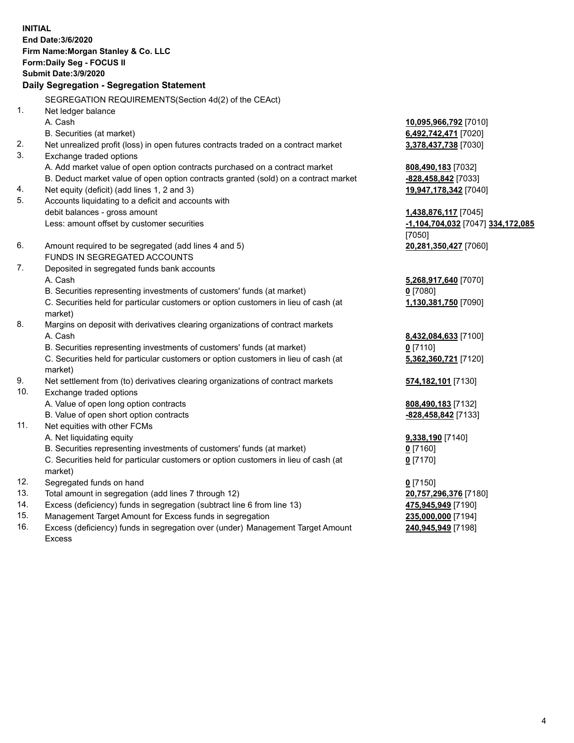|     | <b>INITIAL</b>                                                                                 |                                   |
|-----|------------------------------------------------------------------------------------------------|-----------------------------------|
|     | End Date: 3/6/2020                                                                             |                                   |
|     | Firm Name: Morgan Stanley & Co. LLC                                                            |                                   |
|     | Form: Daily Seg - FOCUS II                                                                     |                                   |
|     | Submit Date: 3/9/2020                                                                          |                                   |
|     | Daily Segregation - Segregation Statement                                                      |                                   |
|     | SEGREGATION REQUIREMENTS(Section 4d(2) of the CEAct)                                           |                                   |
| 1.  | Net ledger balance                                                                             |                                   |
|     | A. Cash                                                                                        | 10,095,966,792 [7010]             |
|     | B. Securities (at market)                                                                      | 6,492,742,471 [7020]              |
| 2.  | Net unrealized profit (loss) in open futures contracts traded on a contract market             | 3,378,437,738 [7030]              |
| 3.  | Exchange traded options                                                                        |                                   |
|     | A. Add market value of open option contracts purchased on a contract market                    | 808,490,183 [7032]                |
|     | B. Deduct market value of open option contracts granted (sold) on a contract market            | -828,458,842 [7033]               |
| 4.  | Net equity (deficit) (add lines 1, 2 and 3)                                                    | 19,947,178,342 [7040]             |
| 5.  | Accounts liquidating to a deficit and accounts with                                            |                                   |
|     | debit balances - gross amount                                                                  | 1,438,876,117 [7045]              |
|     | Less: amount offset by customer securities                                                     | -1,104,704,032 [7047] 334,172,085 |
|     |                                                                                                | [7050]                            |
| 6.  | Amount required to be segregated (add lines 4 and 5)                                           | 20,281,350,427 [7060]             |
|     | FUNDS IN SEGREGATED ACCOUNTS                                                                   |                                   |
| 7.  | Deposited in segregated funds bank accounts                                                    |                                   |
|     | A. Cash                                                                                        | 5,268,917,640 [7070]              |
|     | B. Securities representing investments of customers' funds (at market)                         | $0$ [7080]                        |
|     | C. Securities held for particular customers or option customers in lieu of cash (at<br>market) | 1,130,381,750 [7090]              |
| 8.  | Margins on deposit with derivatives clearing organizations of contract markets                 |                                   |
|     | A. Cash                                                                                        | 8,432,084,633 [7100]              |
|     | B. Securities representing investments of customers' funds (at market)                         | $0$ [7110]                        |
|     | C. Securities held for particular customers or option customers in lieu of cash (at<br>market) | 5,362,360,721 [7120]              |
| 9.  | Net settlement from (to) derivatives clearing organizations of contract markets                | 574,182,101 [7130]                |
| 10. | Exchange traded options                                                                        |                                   |
|     | A. Value of open long option contracts                                                         | 808,490,183 [7132]                |
|     | B. Value of open short option contracts                                                        | -828,458,842 [7133]               |
| 11. | Net equities with other FCMs                                                                   |                                   |
|     | A. Net liquidating equity                                                                      | 9,338,190 [7140]                  |
|     | B. Securities representing investments of customers' funds (at market)                         | $0$ [7160]                        |
|     | C. Securities held for particular customers or option customers in lieu of cash (at<br>market) | $0$ [7170]                        |
| 12. | Segregated funds on hand                                                                       | $0$ [7150]                        |
| 13. | Total amount in segregation (add lines 7 through 12)                                           | 20,757,296,376 [7180]             |
| 14. | Excess (deficiency) funds in segregation (subtract line 6 from line 13)                        | 475,945,949 [7190]                |
| 15. | Management Target Amount for Excess funds in segregation                                       | 235,000,000 [7194]                |
| 16. | Excess (deficiency) funds in segregation over (under) Management Target Amount                 | 240,945,949 [7198]                |